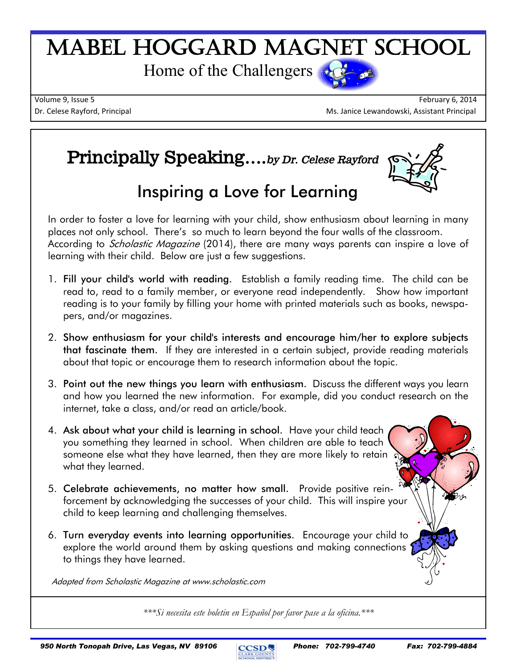# Mabel Hoggard Magnet School

Home of the Challengers



Volume 9, Issue 5 February 6, 2014 Dr. Celese Rayford, Principal Ms. Janice Lewandowski, Assistant Principal Ms. Janice Lewandowski, Assistant Principal

## **Principally Speaking….***by Dr. Celese Rayford*



# **Inspiring a Love for Learning**

In order to foster a love for learning with your child, show enthusiasm about learning in many places not only school. There's so much to learn beyond the four walls of the classroom. According to *Scholastic Magazine* (2014), there are many ways parents can inspire a love of learning with their child. Below are just a few suggestions.

- 1. **Fill your child's world with reading.** Establish a family reading time. The child can be read to, read to a family member, or everyone read independently. Show how important reading is to your family by filling your home with printed materials such as books, newspapers, and/or magazines.
- 2. **Show enthusiasm for your child's interests and encourage him/her to explore subjects that fascinate them.** If they are interested in a certain subject, provide reading materials about that topic or encourage them to research information about the topic.
- 3. **Point out the new things you learn with enthusiasm.** Discuss the different ways you learn and how you learned the new information. For example, did you conduct research on the internet, take a class, and/or read an article/book.
- 4. **Ask about what your child is learning in school.** Have your child teach you something they learned in school. When children are able to teach someone else what they have learned, then they are more likely to retain. what they learned.
- 5. **Celebrate achievements, no matter how small.** Provide [positive rein](http://www2.scholastic.com/browse/article.jsp?id=3745989)[forcement b](http://www2.scholastic.com/browse/article.jsp?id=3745989)y acknowledging the successes of your child. This will inspire your child to keep learning and challenging themselves.
- 6. **Turn everyday events into learning opportunities.** Encourage your child to explore the world around them by asking questions and making connections to things they have learned.

Adapted from Scholastic Magazine at www.scholastic.com

*\*\*\*Si necesita este boletin en Español por favor pase a la oficina.\*\*\**

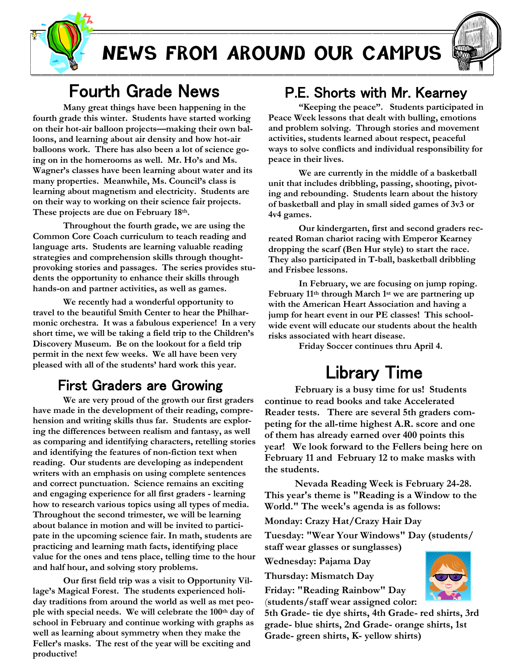

# **NEWS FROM AROUND OUR CAMPUS**



### Fourth Grade News

**Many great things have been happening in the fourth grade this winter. Students have started working on their hot-air balloon projects—making their own balloons, and learning about air density and how hot-air balloons work. There has also been a lot of science going on in the homerooms as well. Mr. Ho's and Ms. Wagner's classes have been learning about water and its many properties. Meanwhile, Ms. Council's class is learning about magnetism and electricity. Students are on their way to working on their science fair projects. These projects are due on February 18th.**

**Throughout the fourth grade, we are using the Common Core Coach curriculum to teach reading and language arts. Students are learning valuable reading strategies and comprehension skills through thoughtprovoking stories and passages. The series provides students the opportunity to enhance their skills through hands-on and partner activities, as well as games.** 

**We recently had a wonderful opportunity to travel to the beautiful Smith Center to hear the Philharmonic orchestra. It was a fabulous experience! In a very short time, we will be taking a field trip to the Children's Discovery Museum. Be on the lookout for a field trip permit in the next few weeks. We all have been very pleased with all of the students' hard work this year.**

#### First Graders are Growing

 **We are very proud of the growth our first graders have made in the development of their reading, comprehension and writing skills thus far. Students are exploring the differences between realism and fantasy, as well as comparing and identifying characters, retelling stories and identifying the features of non-fiction text when reading. Our students are developing as independent writers with an emphasis on using complete sentences and correct punctuation. Science remains an exciting and engaging experience for all first graders - learning how to research various topics using all types of media. Throughout the second trimester, we will be learning about balance in motion and will be invited to participate in the upcoming science fair. In math, students are practicing and learning math facts, identifying place value for the ones and tens place, telling time to the hour and half hour, and solving story problems.**

**Our first field trip was a visit to Opportunity Village's Magical Forest. The students experienced holiday traditions from around the world as well as met people with special needs. We will celebrate the 100th day of school in February and continue working with graphs as well as learning about symmetry when they make the Feller's masks. The rest of the year will be exciting and productive!**

#### P.E. Shorts with Mr. Kearney

**"Keeping the peace". Students participated in Peace Week lessons that dealt with bulling, emotions and problem solving. Through stories and movement activities, students learned about respect, peaceful ways to solve conflicts and individual responsibility for peace in their lives.**

**We are currently in the middle of a basketball unit that includes dribbling, passing, shooting, pivoting and rebounding. Students learn about the history of basketball and play in small sided games of 3v3 or 4v4 games.**

**Our kindergarten, first and second graders recreated Roman chariot racing with Emperor Kearney dropping the scarf (Ben Hur style) to start the race. They also participated in T-ball, basketball dribbling and Frisbee lessons.**

**In February, we are focusing on jump roping. February 11th through March 1st we are partnering up with the American Heart Association and having a jump for heart event in our PE classes! This schoolwide event will educate our students about the health risks associated with heart disease.** 

**Friday Soccer continues thru April 4.**

# Library Time

**February is a busy time for us! Students continue to read books and take Accelerated Reader tests. There are several 5th graders competing for the all-time highest A.R. score and one of them has already earned over 400 points this year! We look forward to the Fellers being here on February 11 and February 12 to make masks with the students.**

**Nevada Reading Week is February 24-28. This year's theme is "Reading is a Window to the World." The week's agenda is as follows:**

**Monday: Crazy Hat/Crazy Hair Day**

**Tuesday: "Wear Your Windows" Day (students/ staff wear glasses or sunglasses)**

**Wednesday: Pajama Day**

**Thursday: Mismatch Day**

**Friday: "Reading Rainbow" Day**  (**students/staff wear assigned color:** 

**5th Grade- tie dye shirts, 4th Grade- red shirts, 3rd grade- blue shirts, 2nd Grade- orange shirts, 1st Grade- green shirts, K- yellow shirts)**

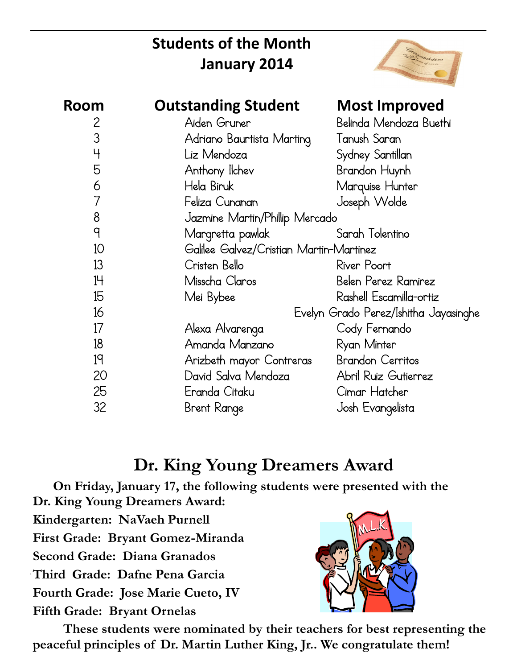# **Students of the Month January 2014**



| Room           | <b>Outstanding Student</b>              | <b>Most Improved</b>    |
|----------------|-----------------------------------------|-------------------------|
| $\overline{2}$ | Aiden Gruner                            | Belinda Mendoza Buethi  |
| 3              | Adriano Baurtista Marting               | Tanush Saran            |
| $\overline{4}$ | Liz Mendoza                             | Sydney Santillan        |
| 5              | Anthony Ilchev                          | Brandon Huynh           |
| 6              | Hela Biruk                              | Marquise Hunter         |
| 7              | Feliza Cunanan                          | Joseph Wolde            |
| 8              | Jazmine Martin/Phillip Mercado          |                         |
| $\mathsf{q}$   | Margretta pawlak                        | Sarah Tolentino         |
| 10             | Galilee Galvez/Cristian Martin-Martinez |                         |
| 13             | Cristen Bello                           | River Poort             |
| 14             | Misscha Claros                          | Belen Perez Ramirez     |
| 15             | Mei Bybee                               | Rashell Escamilla-ortiz |
| 16             | Evelyn Grado Perez/Ishitha Jayasinghe   |                         |
| 17             | Alexa Alvarenga                         | Cody Fernando           |
| 18             | Amanda Manzano                          | Ryan Minter             |
| 19             | Arizbeth mayor Contreras                | <b>Brandon Cerritos</b> |
| 20             | David Salva Mendoza                     | Abril Ruiz Gutierrez    |
| 25             | Eranda Citaku                           | Cimar Hatcher           |
| 32             | Brent Range                             | Josh Evangelista        |

## **Dr. King Young Dreamers Award**

 **On Friday, January 17, the following students were presented with the Dr. King Young Dreamers Award:**

**Kindergarten: NaVaeh Purnell**

**First Grade: Bryant Gomez-Miranda**

**Second Grade: Diana Granados**

**Third Grade: Dafne Pena Garcia**

**Fourth Grade: Jose Marie Cueto, IV**

**Fifth Grade: Bryant Ornelas**



**These students were nominated by their teachers for best representing the peaceful principles of Dr. Martin Luther King, Jr.. We congratulate them!**